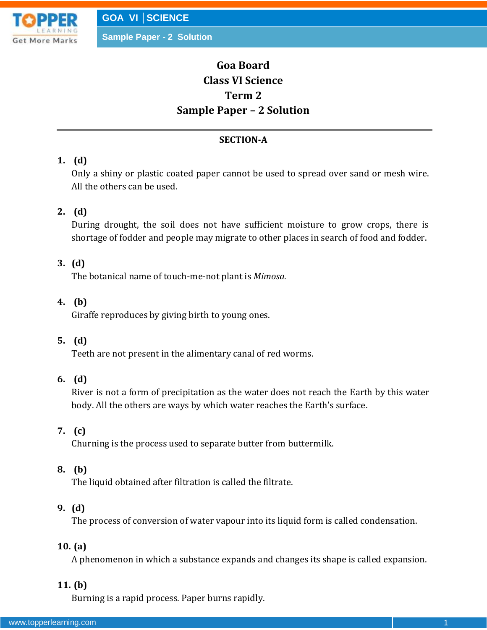

# **Goa Board Class VI Science Term 2 Sample Paper – 2 Solution**

### **SECTION-A**

# **1. (d)**

Only a shiny or plastic coated paper cannot be used to spread over sand or mesh wire. All the others can be used.

# **2. (d)**

During drought, the soil does not have sufficient moisture to grow crops, there is shortage of fodder and people may migrate to other places in search of food and fodder.

### **3. (d)**

The botanical name of touch-me-not plant is *Mimosa*.

### **4. (b)**

Giraffe reproduces by giving birth to young ones.

### **5. (d)**

Teeth are not present in the alimentary canal of red worms.

### **6. (d)**

River is not a form of precipitation as the water does not reach the Earth by this water body. All the others are ways by which water reaches the Earth's surface.

### **7. (c)**

Churning is the process used to separate butter from buttermilk.

### **8. (b)**

The liquid obtained after filtration is called the filtrate.

### **9. (d)**

The process of conversion of water vapour into its liquid form is called condensation.

### **10. (a)**

A phenomenon in which a substance expands and changes its shape is called expansion.

### **11. (b)**

Burning is a rapid process. Paper burns rapidly.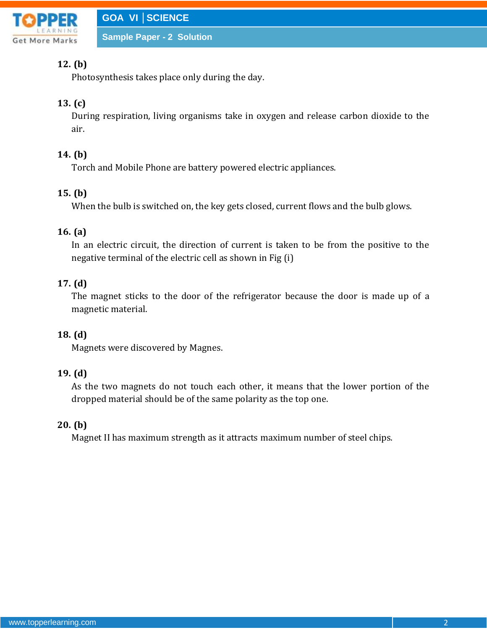

# **12. (b)**

Photosynthesis takes place only during the day.

# **13. (c)**

During respiration, living organisms take in oxygen and release carbon dioxide to the air.

# **14. (b)**

Torch and Mobile Phone are battery powered electric appliances.

# **15. (b)**

When the bulb is switched on, the key gets closed, current flows and the bulb glows.

# **16. (a)**

In an electric circuit, the direction of current is taken to be from the positive to the negative terminal of the electric cell as shown in Fig (i)

# **17. (d)**

The magnet sticks to the door of the refrigerator because the door is made up of a magnetic material.

# **18. (d)**

Magnets were discovered by Magnes.

### **19. (d)**

As the two magnets do not touch each other, it means that the lower portion of the dropped material should be of the same polarity as the top one.

### **20. (b)**

Magnet II has maximum strength as it attracts maximum number of steel chips.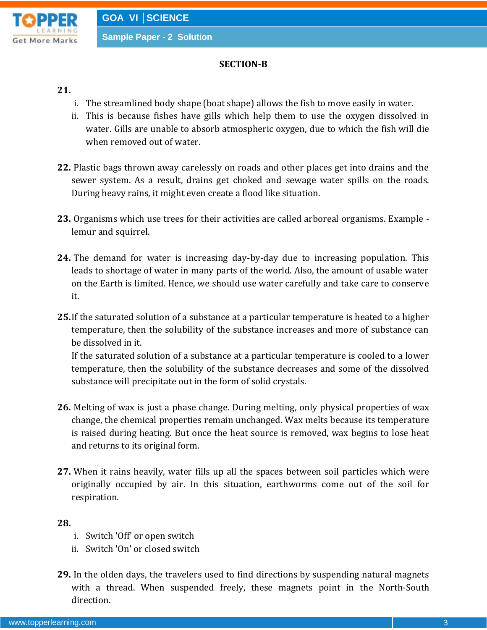

#### **SECTION-B**

#### **21.**

- i. The streamlined body shape (boat shape) allows the fish to move easily in water.
- ii. This is because fishes have gills which help them to use the oxygen dissolved in water. Gills are unable to absorb atmospheric oxygen, due to which the fish will die when removed out of water.
- **22.** Plastic bags thrown away carelessly on roads and other places get into drains and the sewer system. As a result, drains get choked and sewage water spills on the roads. During heavy rains, it might even create a flood like situation.
- **23.** Organisms which use trees for their activities are called arboreal organisms. Example lemur and squirrel.
- **24.** The demand for water is increasing day-by-day due to increasing population. This leads to shortage of water in many parts of the world. Also, the amount of usable water on the Earth is limited. Hence, we should use water carefully and take care to conserve it.
- **25.**If the saturated solution of a substance at a particular temperature is heated to a higher temperature, then the solubility of the substance increases and more of substance can be dissolved in it. If the saturated solution of a substance at a particular temperature is cooled to a lower

temperature, then the solubility of the substance decreases and some of the dissolved substance will precipitate out in the form of solid crystals.

- **26.** Melting of wax is just a phase change. During melting, only physical properties of wax change, the chemical properties remain unchanged. Wax melts because its temperature is raised during heating. But once the heat source is removed, wax begins to lose heat and returns to its original form.
- **27.** When it rains heavily, water fills up all the spaces between soil particles which were originally occupied by air. In this situation, earthworms come out of the soil for respiration.

#### **28.**

- i. Switch 'Off' or open switch
- ii. Switch 'On' or closed switch
- **29.** In the olden days, the travelers used to find directions by suspending natural magnets with a thread. When suspended freely, these magnets point in the North-South direction.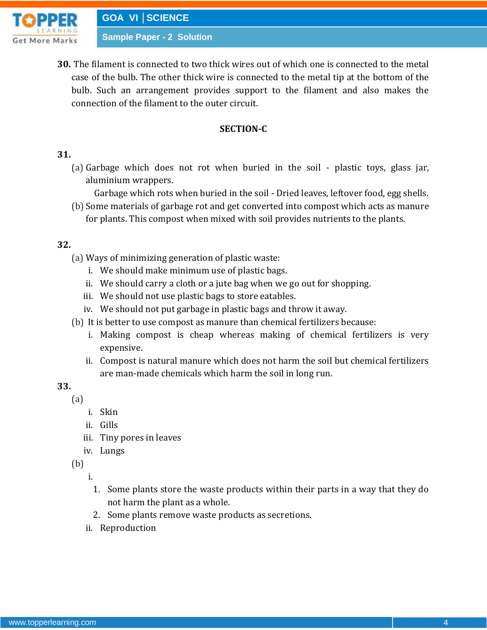

**30.** The filament is connected to two thick wires out of which one is connected to the metal case of the bulb. The other thick wire is connected to the metal tip at the bottom of the bulb. Such an arrangement provides support to the filament and also makes the connection of the filament to the outer circuit.

### **SECTION-C**

### **31.**

- (a) Garbage which does not rot when buried in the soil plastic toys, glass jar, aluminium wrappers.
	- Garbage which rots when buried in the soil Dried leaves, leftover food, egg shells.
- (b) Some materials of garbage rot and get converted into compost which acts as manure for plants. This compost when mixed with soil provides nutrients to the plants.

### **32.**

- (a) Ways of minimizing generation of plastic waste:
	- i. We should make minimum use of plastic bags.
	- ii. We should carry a cloth or a jute bag when we go out for shopping.
	- iii. We should not use plastic bags to store eatables.
	- iv. We should not put garbage in plastic bags and throw it away.
- (b) It is better to use compost as manure than chemical fertilizers because:
	- i. Making compost is cheap whereas making of chemical fertilizers is very expensive.
	- ii. Compost is natural manure which does not harm the soil but chemical fertilizers are man-made chemicals which harm the soil in long run.

**33.**

- (a)
	- i. Skin
	- ii. Gills
	- iii. Tiny pores in leaves
	- iv. Lungs

(b)

i.

- 1. Some plants store the waste products within their parts in a way that they do not harm the plant as a whole.
- 2. Some plants remove waste products as secretions.
- ii. Reproduction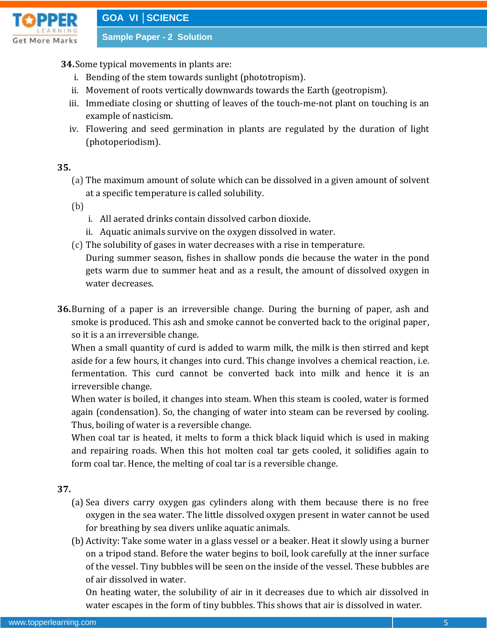

### **34.**Some typical movements in plants are:

- i. Bending of the stem towards sunlight (phototropism).
- ii. Movement of roots vertically downwards towards the Earth (geotropism).
- iii. Immediate closing or shutting of leaves of the touch-me-not plant on touching is an example of nasticism.
- iv. Flowering and seed germination in plants are regulated by the duration of light (photoperiodism).

### **35.**

(a) The maximum amount of solute which can be dissolved in a given amount of solvent at a specific temperature is called solubility.

(b)

- i. All aerated drinks contain dissolved carbon dioxide.
- ii. Aquatic animals survive on the oxygen dissolved in water.
- (c) The solubility of gases in water decreases with a rise in temperature. During summer season, fishes in shallow ponds die because the water in the pond gets warm due to summer heat and as a result, the amount of dissolved oxygen in water decreases.
- **36.**Burning of a paper is an irreversible change. During the burning of paper, ash and smoke is produced. This ash and smoke cannot be converted back to the original paper, so it is a an irreversible change.

When a small quantity of curd is added to warm milk, the milk is then stirred and kept aside for a few hours, it changes into curd. This change involves a chemical reaction, i.e. fermentation. This curd cannot be converted back into milk and hence it is an irreversible change.

When water is boiled, it changes into steam. When this steam is cooled, water is formed again (condensation). So, the changing of water into steam can be reversed by cooling. Thus, boiling of water is a reversible change.

When coal tar is heated, it melts to form a thick black liquid which is used in making and repairing roads. When this hot molten coal tar gets cooled, it solidifies again to form coal tar. Hence, the melting of coal tar is a reversible change.

### **37.**

- (a) Sea divers carry oxygen gas cylinders along with them because there is no free oxygen in the sea water. The little dissolved oxygen present in water cannot be used for breathing by sea divers unlike aquatic animals.
- (b) Activity: Take some water in a glass vessel or a beaker. Heat it slowly using a burner on a tripod stand. Before the water begins to boil, look carefully at the inner surface of the vessel. Tiny bubbles will be seen on the inside of the vessel. These bubbles are of air dissolved in water.

On heating water, the solubility of air in it decreases due to which air dissolved in water escapes in the form of tiny bubbles. This shows that air is dissolved in water.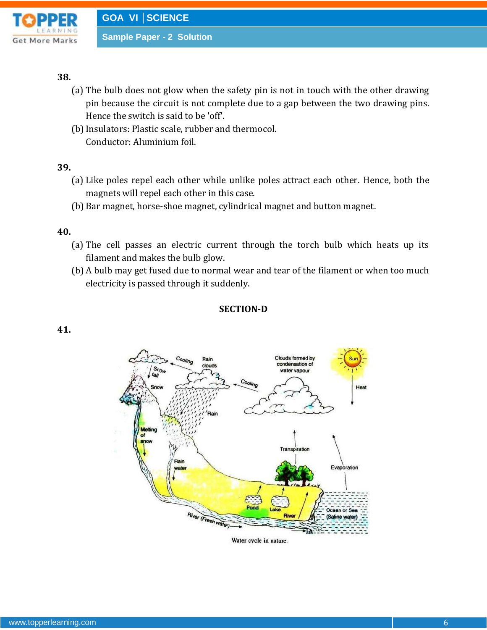

#### **38.**

- (a) The bulb does not glow when the safety pin is not in touch with the other drawing pin because the circuit is not complete due to a gap between the two drawing pins. Hence the switch is said to be 'off'.
- (b) Insulators: Plastic scale, rubber and thermocol. Conductor: Aluminium foil.

#### **39.**

- (a) Like poles repel each other while unlike poles attract each other. Hence, both the magnets will repel each other in this case.
- (b) Bar magnet, horse-shoe magnet, cylindrical magnet and button magnet.

#### **40.**

- (a) The cell passes an electric current through the torch bulb which heats up its filament and makes the bulb glow.
- (b) A bulb may get fused due to normal wear and tear of the filament or when too much electricity is passed through it suddenly.

#### **SECTION-D**

#### **41.**



Water cycle in nature.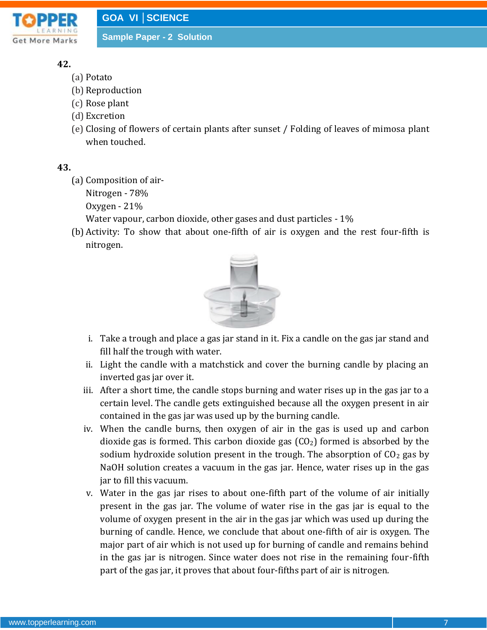

# **42.**

- (a) Potato
- (b) Reproduction
- (c) Rose plant
- (d) Excretion
- (e) Closing of flowers of certain plants after sunset / Folding of leaves of mimosa plant when touched.

## **43.**

(a) Composition of air-

Nitrogen - 78%

Oxygen - 21%

Water vapour, carbon dioxide, other gases and dust particles - 1%

(b) Activity: To show that about one-fifth of air is oxygen and the rest four-fifth is nitrogen.



- i. Take a trough and place a gas jar stand in it. Fix a candle on the gas jar stand and fill half the trough with water.
- ii. Light the candle with a matchstick and cover the burning candle by placing an inverted gas jar over it.
- iii. After a short time, the candle stops burning and water rises up in the gas jar to a certain level. The candle gets extinguished because all the oxygen present in air contained in the gas jar was used up by the burning candle.
- iv. When the candle burns, then oxygen of air in the gas is used up and carbon dioxide gas is formed. This carbon dioxide gas  $(CO<sub>2</sub>)$  formed is absorbed by the sodium hydroxide solution present in the trough. The absorption of  $CO<sub>2</sub>$  gas by NaOH solution creates a vacuum in the gas jar. Hence, water rises up in the gas jar to fill this vacuum.
- v. Water in the gas jar rises to about one-fifth part of the volume of air initially present in the gas jar. The volume of water rise in the gas jar is equal to the volume of oxygen present in the air in the gas jar which was used up during the burning of candle. Hence, we conclude that about one-fifth of air is oxygen. The major part of air which is not used up for burning of candle and remains behind in the gas jar is nitrogen. Since water does not rise in the remaining four-fifth part of the gas jar, it proves that about four-fifths part of air is nitrogen.